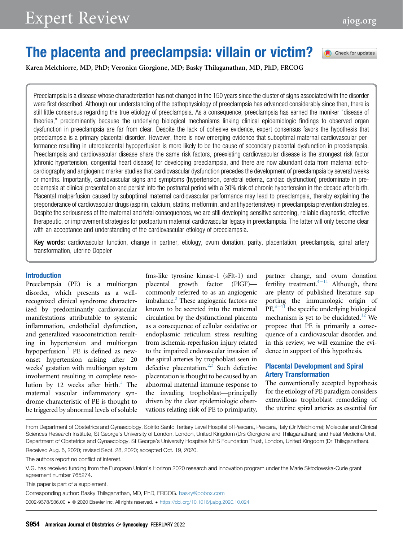Check for updates

# The placenta and preeclampsia: villain or victim?

Karen Melchiorre, MD, PhD; Veronica Giorgione, MD; Basky Thilaganathan, MD, PhD, FRCOG

Preeclampsia is a disease whose characterization has not changed in the 150 years since the cluster of signs associated with the disorder were first described. Although our understanding of the pathophysiology of preeclampsia has advanced considerably since then, there is still little consensus regarding the true etiology of preeclampsia. As a consequence, preeclampsia has earned the moniker "disease of theories," predominantly because the underlying biological mechanisms linking clinical epidemiologic findings to observed organ dysfunction in preeclampsia are far from clear. Despite the lack of cohesive evidence, expert consensus favors the hypothesis that preeclampsia is a primary placental disorder. However, there is now emerging evidence that suboptimal maternal cardiovascular performance resulting in uteroplacental hypoperfusion is more likely to be the cause of secondary placental dysfunction in preeclampsia. Preeclampsia and cardiovascular disease share the same risk factors, preexisting cardiovascular disease is the strongest risk factor (chronic hypertension, congenital heart disease) for developing preeclampsia, and there are now abundant data from maternal echocardiography and angiogenic marker studies that cardiovascular dysfunction precedes the development of preeclampsia by several weeks or months. Importantly, cardiovascular signs and symptoms (hypertension, cerebral edema, cardiac dysfunction) predominate in preeclampsia at clinical presentation and persist into the postnatal period with a 30% risk of chronic hypertension in the decade after birth. Placental malperfusion caused by suboptimal maternal cardiovascular performance may lead to preeclampsia, thereby explaining the preponderance of cardiovascular drugs (aspirin, calcium, statins, metformin, and antihypertensives) in preeclampsia prevention strategies. Despite the seriousness of the maternal and fetal consequences, we are still developing sensitive screening, reliable diagnostic, effective therapeutic, or improvement strategies for postpartum maternal cardiovascular legacy in preeclampsia. The latter will only become clear with an acceptance and understanding of the cardiovascular etiology of preeclampsia.

Key words: cardiovascular function, change in partner, etiology, ovum donation, parity, placentation, preeclampsia, spiral artery transformation, uterine Doppler

#### Introduction

Preeclampsia (PE) is a multiorgan disorder, which presents as a wellrecognized clinical syndrome characterized by predominantly cardiovascular manifestations attributable to systemic inflammation, endothelial dysfunction, and generalized vasoconstriction resulting in hypertension and multiorgan hypoperfusion.<sup>[1](#page-7-0)</sup> PE is defined as newonset hypertension arising after 20 weeks' gestation with multiorgan system involvement resulting in complete resolution by 12 weeks after birth.<sup>1</sup> The maternal vascular inflammatory syndrome characteristic of PE is thought to be triggered by abnormal levels of soluble

fms-like tyrosine kinase-1 (sFlt-1) and placental growth factor (PlGF) commonly referred to as an angiogenic imbalance.<sup>2</sup> These angiogenic factors are known to be secreted into the maternal circulation by the dysfunctional placenta as a consequence of cellular oxidative or endoplasmic reticulum stress resulting from ischemia-reperfusion injury related to the impaired endovascular invasion of the spiral arteries by trophoblast seen in defective placentation. $2,3$  $2,3$  Such defective placentation is thought to be caused by an abnormal maternal immune response to the invading trophoblast—principally driven by the clear epidemiologic observations relating risk of PE to primiparity,

partner change, and ovum donation fertility treatment. $4-11$  $4-11$  Although, there are plenty of published literature supporting the immunologic origin of  $PE<sub>1</sub><sup>4–11</sup>$  $PE<sub>1</sub><sup>4–11</sup>$  $PE<sub>1</sub><sup>4–11</sup>$  the specific underlying biological mechanism is yet to be elucidated.<sup>12</sup> We propose that PE is primarily a consequence of a cardiovascular disorder, and in this review, we will examine the evidence in support of this hypothesis.

### Placental Development and Spiral Artery Transformation

The conventionally accepted hypothesis for the etiology of PE paradigm considers extravillous trophoblast remodeling of the uterine spiral arteries as essential for

From Department of Obstetrics and Gynaecology, Spirito Santo Tertiary Level Hospital of Pescara, Pescara, Italy (Dr Melchiorre); Molecular and Clinical Sciences Research Institute, St George's University of London, London, United Kingdom (Drs Giorgione and Thilaganathan); and Fetal Medicine Unit, Department of Obstetrics and Gynaecology, St George's University Hospitals NHS Foundation Trust, London, United Kingdom (Dr Thilaganathan). Received Aug. 6, 2020; revised Sept. 28, 2020; accepted Oct. 19, 2020.

The authors report no conflict of interest.

V.G. has received funding from the European Union's Horizon 2020 research and innovation program under the Marie Skłodowska-Curie grant agreement number 765274.

This paper is part of a supplement.

Corresponding author: Basky Thilaganathan, MD, PhD, FRCOG. [basky@pobox.com](mailto:basky@pobox.com)

0002-9378/\$36.00 ª 2020 Elsevier Inc. All rights reserved. <https://doi.org/10.1016/j.ajog.2020.10.024>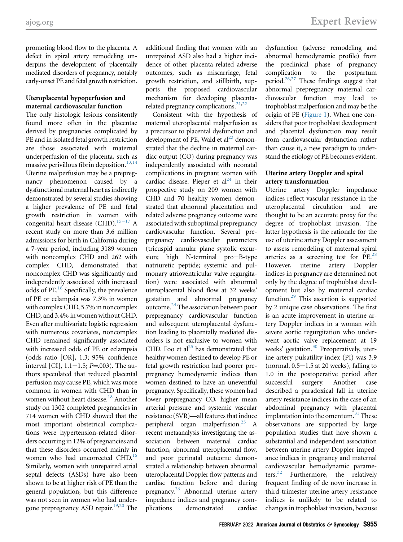promoting blood flow to the placenta. A defect in spiral artery remodeling underpins the development of placentally mediated disorders of pregnancy, notably early-onset PE and fetal growth restriction.

## Uteroplacental hypoperfusion and maternal cardiovascular function

The only histologic lesions consistently found more often in the placentae derived by pregnancies complicated by PE and in isolated fetal growth restriction are those associated with maternal underperfusion of the placenta, such as massive perivillous fibrin deposition.<sup>13[,14](#page-7-6)</sup> Uterine malperfusion may be a prepregnancy phenomenon caused by a dysfunctional maternal heart as indirectly demonstrated by several studies showing a higher prevalence of PE and fetal growth restriction in women with congenital heart disease (CHD).<sup>15-17</sup> A recent study on more than 3.6 million admissions for birth in California during a 7-year period, including 3189 women with noncomplex CHD and 262 with complex CHD, demonstrated that noncomplex CHD was significantly and independently associated with increased odds of PE.<sup>18</sup> Specifically, the prevalence of PE or eclampsia was 7.3% in women with complex CHD, 5.7% in noncomplex CHD, and 3.4% in women without CHD. Even after multivariate logistic regression with numerous covariates, noncomplex CHD remained significantly associated with increased odds of PE or eclampsia (odds ratio [OR], 1.3; 95% confidence interval [CI],  $1.1-1.5$ ;  $P = .003$ ). The authors speculated that reduced placental perfusion may cause PE, which was more common in women with CHD than in women without heart disease.<sup>[18](#page-7-8)</sup> Another study on 1302 completed pregnancies in 714 women with CHD showed that the most important obstetrical complications were hypertension-related disorders occurring in 12% of pregnancies and that these disorders occurred mainly in women who had uncorrected CHD.<sup>16</sup> Similarly, women with unrepaired atrial septal defects (ASDs) have also been shown to be at higher risk of PE than the general population, but this difference was not seen in women who had undergone prepregnancy ASD repair. $19,20$  $19,20$  The

additional finding that women with an unrepaired ASD also had a higher incidence of other placenta-related adverse outcomes, such as miscarriage, fetal growth restriction, and stillbirth, supports the proposed cardiovascular mechanism for developing placentarelated pregnancy complications. $2^{1,22}$  $2^{1,22}$  $2^{1,22}$ 

Consistent with the hypothesis of maternal uteroplacental malperfusion as a precursor to placental dysfunction and development of PE, Wald et  $al^{23}$  $al^{23}$  $al^{23}$  demonstrated that the decline in maternal cardiac output (CO) during pregnancy was independently associated with neonatal complications in pregnant women with cardiac disease. Pieper et  $al<sup>24</sup>$  in their prospective study on 209 women with CHD and 70 healthy women demonstrated that abnormal placentation and related adverse pregnancy outcome were associated with suboptimal prepregnancy cardiovascular function. Several prepregnancy cardiovascular parameters (tricuspid annular plane systolic excursion; high N-terminal pro-B-type natriuretic peptide; systemic and pulmonary atrioventricular valve regurgitation) were associated with abnormal uteroplacental blood flow at 32 weeks' gestation and abnormal pregnancy outcome[.24](#page-7-15)The association between poor prepregnancy cardiovascular function and subsequent uteroplacental dysfunction leading to placentally mediated disorders is not exclusive to women with CHD. Foo et al<sup>25</sup> has demonstrated that healthy women destined to develop PE or fetal growth restriction had poorer prepregnancy hemodynamic indices than women destined to have an uneventful pregnancy. Specifically, these women had lower prepregnancy CO, higher mean arterial pressure and systemic vascular resistance (SVR)—all features that induce peripheral organ malperfusion.<sup>25</sup> A recent metaanalysis investigating the association between maternal cardiac function, abnormal uteroplacental flow, and poor perinatal outcome demonstrated a relationship between abnormal uteroplacental Doppler flow patterns and cardiac function before and during pregnancy.<sup>26</sup> Abnormal uterine artery impedance indices and pregnancy com-<br>plications demonstrated cardiac demonstrated cardiac

dysfunction (adverse remodeling and abnormal hemodynamic profile) from the preclinical phase of pregnancy complication to the postpartum period[.26](#page-7-17)[,27](#page-7-18) These findings suggest that abnormal prepregnancy maternal cardiovascular function may lead to trophoblast malperfusion and may be the origin of PE [\(Figure 1](#page-2-0)). When one considers that poor trophoblast development and placental dysfunction may result from cardiovascular dysfunction rather than cause it, a new paradigm to understand the etiology of PE becomes evident.

## Uterine artery Doppler and spiral artery transformation

Uterine artery Doppler impedance indices reflect vascular resistance in the uteroplacental circulation and are thought to be an accurate proxy for the degree of trophoblast invasion. The latter hypothesis is the rationale for the use of uterine artery Doppler assessment to assess remodeling of maternal spiral arteries as a screening test for  $PE.^{28}$  $PE.^{28}$  $PE.^{28}$ However, uterine artery Doppler indices in pregnancy are determined not only by the degree of trophoblast development but also by maternal cardiac function.[29](#page-7-20) This assertion is supported by 2 unique case observations. The first is an acute improvement in uterine artery Doppler indices in a woman with severe aortic regurgitation who underwent aortic valve replacement at 19 weeks' gestation. $30$  Preoperatively, uterine artery pulsatility index (PI) was 3.9 (normal,  $0.5-1.5$  at 20 weeks), falling to 1.0 in the postoperative period after successful surgery. Another case described a paradoxical fall in uterine artery resistance indices in the case of an abdominal pregnancy with placental implantation into the omentum. $31$  These observations are supported by large population studies that have shown a substantial and independent association between uterine artery Doppler impedance indices in pregnancy and maternal cardiovascular hemodynamic parameters. $32$  Furthermore, the relatively frequent finding of de novo increase in third-trimester uterine artery resistance indices is unlikely to be related to changes in trophoblast invasion, because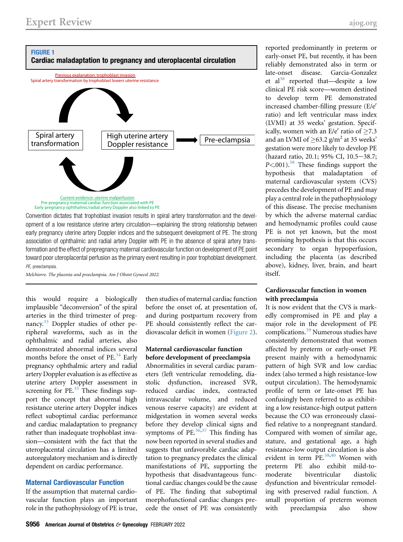<span id="page-2-0"></span>

Convention dictates that trophoblast invasion results in spiral artery transformation and the development of a low resistance uterine artery circulation—explaining the strong relationship between early pregnancy uterine artery Doppler indices and the subsequent development of PE. The strong association of ophthalmic and radial artery Doppler with PE in the absence of spiral artery transformation and the effect of prepregnancy maternal cardiovascular function on development of PE point toward poor uteroplacental perfusion as the primary event resulting in poor trophoblast development. PE, preeclampsia.

Melchiorre. The placenta and preeclampsia. Am J Obstet Gynecol 2022.

this would require a biologically implausible "deconversion" of the spiral arteries in the third trimester of preg-nancy.<sup>[33](#page-7-24)</sup> Doppler studies of other peripheral waveforms, such as in the ophthalmic and radial arteries, also demonstrated abnormal indices several months before the onset of PE.<sup>[34](#page-7-25)</sup> Early pregnancy ophthalmic artery and radial artery Doppler evaluation is as effective as uterine artery Doppler assessment in screening for  $PE.^{35}$  $PE.^{35}$  $PE.^{35}$  These findings support the concept that abnormal high resistance uterine artery Doppler indices reflect suboptimal cardiac performance and cardiac maladaptation to pregnancy rather than inadequate trophoblast invasion—consistent with the fact that the uteroplacental circulation has a limited autoregulatory mechanism and is directly dependent on cardiac performance.

### Maternal Cardiovascular Function

If the assumption that maternal cardiovascular function plays an important role in the pathophysiology of PE is true, then studies of maternal cardiac function before the onset of, at presentation of, and during postpartum recovery from PE should consistently reflect the cardiovascular deficit in women ([Figure 2\)](#page-3-0).

#### Maternal cardiovascular function before development of preeclampsia

Abnormalities in several cardiac parameters (left ventricular remodeling, diastolic dysfunction, increased SVR, reduced cardiac index, contracted intravascular volume, and reduced venous reserve capacity) are evident at midgestation in women several weeks before they develop clinical signs and symptoms of PE. $36,37$  $36,37$  This finding has now been reported in several studies and suggests that unfavorable cardiac adaptation to pregnancy predates the clinical manifestations of PE, supporting the hypothesis that disadvantageous functional cardiac changes could be the cause of PE. The finding that suboptimal morphofunctional cardiac changes precede the onset of PE was consistently

reported predominantly in preterm or early-onset PE, but recently, it has been reliably demonstrated also in term or late-onset disease. Garcia-Gonzalez et al<sup>[38](#page-7-29)</sup> reported that—despite a low clinical PE risk score—women destined to develop term PE demonstrated increased chamber-filling pressure  $(E/e^{\prime})$ ratio) and left ventricular mass index (LVMI) at 35 weeks' gestation. Specifically, women with an  $E/e'$  ratio of  $\geq 7.3$ and an LVMI of  $\geq$ 63.2 g/m<sup>2</sup> at 35 weeks' gestation were more likely to develop PE (hazard ratio, 20.1; 95% CI, 10.5-38.7;  $P \le 001$ ).<sup>[38](#page-7-29)</sup> These findings support the hypothesis that maladaptation of maternal cardiovascular system (CVS) precedes the development of PE and may play a central role in the pathophysiology of this disease. The precise mechanism by which the adverse maternal cardiac and hemodynamic profiles could cause PE is not yet known, but the most promising hypothesis is that this occurs secondary to organ hypoperfusion, including the placenta (as described above), kidney, liver, brain, and heart itself.

### Cardiovascular function in women with preeclampsia

It is now evident that the CVS is markedly compromised in PE and play a major role in the development of PE complications.<sup>[39](#page-7-30)</sup> Numerous studies have consistently demonstrated that women affected by preterm or early-onset PE present mainly with a hemodynamic pattern of high SVR and low cardiac index (also termed a high resistance-low output circulation). The hemodynamic profile of term or late-onset PE has confusingly been referred to as exhibiting a low resistance-high output pattern because the CO was erroneously classified relative to a nonpregnant standard. Compared with women of similar age, stature, and gestational age, a high resistance-low output circulation is also evident in term PE.<sup>[38](#page-7-29)[,40](#page-8-0)</sup> Women with preterm PE also exhibit mild-tomoderate biventricular diastolic dysfunction and biventricular remodeling with preserved radial function. A small proportion of preterm women with preeclampsia also show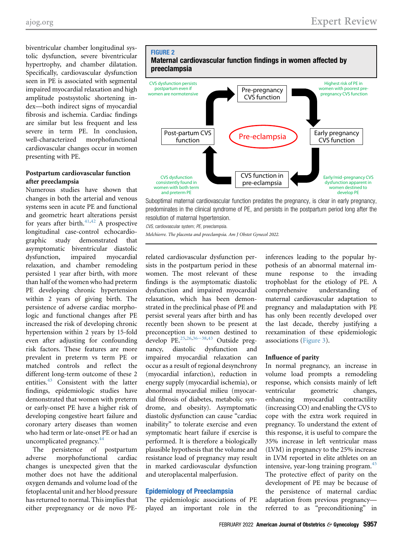biventricular chamber longitudinal systolic dysfunction, severe biventricular hypertrophy, and chamber dilatation. Specifically, cardiovascular dysfunction seen in PE is associated with segmental impaired myocardial relaxation and high amplitude postsystolic shortening index—both indirect signs of myocardial fibrosis and ischemia. Cardiac findings are similar but less frequent and less severe in term PE. In conclusion, well-characterized morphofunctional cardiovascular changes occur in women presenting with PE.

## Postpartum cardiovascular function after preeclampsia

Numerous studies have shown that changes in both the arterial and venous systems seen in acute PE and functional and geometric heart alterations persist for years after birth. $41,42$  $41,42$  $41,42$  A prospective longitudinal case-control echocardiographic study demonstrated that asymptomatic biventricular diastolic dysfunction, impaired myocardial relaxation, and chamber remodeling persisted 1 year after birth, with more than half of the women who had preterm PE developing chronic hypertension within 2 years of giving birth. The persistence of adverse cardiac morphologic and functional changes after PE increased the risk of developing chronic hypertension within 2 years by 15-fold even after adjusting for confounding risk factors. These features are more prevalent in preterm vs term PE or matched controls and reflect the different long-term outcome of these 2 entities.<sup>[43](#page-8-3)</sup> Consistent with the latter findings, epidemiologic studies have demonstrated that women with preterm or early-onset PE have a higher risk of developing congestive heart failure and coronary artery diseases than women who had term or late-onset PE or had an uncomplicated pregnancy.<sup>[44](#page-8-4)</sup>

The persistence of postpartum adverse morphofunctional cardiac changes is unexpected given that the mother does not have the additional oxygen demands and volume load of the fetoplacental unit and her blood pressure has returned to normal. This implies that either prepregnancy or de novo PE-

<span id="page-3-0"></span>

Suboptimal maternal cardiovascular function predates the pregnancy, is clear in early pregnancy, predominates in the clinical syndrome of PE, and persists in the postpartum period long after the resolution of maternal hypertension.

CVS, cardiovascular system; PE, preeclampsia.

Melchiorre. The placenta and preeclampsia. Am J Obstet Gynecol 2022.

related cardiovascular dysfunction persists in the postpartum period in these women. The most relevant of these findings is the asymptomatic diastolic dysfunction and impaired myocardial relaxation, which has been demonstrated in the preclinical phase of PE and persist several years after birth and has recently been shown to be present at preconception in women destined to develop PE. $25,26,36-38,43$  $25,26,36-38,43$  $25,26,36-38,43$  $25,26,36-38,43$  $25,26,36-38,43$  Outside pregnancy, diastolic dysfunction and impaired myocardial relaxation can occur as a result of regional desynchrony (myocardial infarction), reduction in energy supply (myocardial ischemia), or abnormal myocardial milieu (myocardial fibrosis of diabetes, metabolic syndrome, and obesity). Asymptomatic diastolic dysfunction can cause "cardiac inability" to tolerate exercise and even symptomatic heart failure if exercise is performed. It is therefore a biologically plausible hypothesis that the volume and resistance load of pregnancy may result in marked cardiovascular dysfunction and uteroplacental malperfusion.

#### Epidemiology of Preeclampsia

The epidemiologic associations of PE played an important role in the

inferences leading to the popular hypothesis of an abnormal maternal immune response to the invading trophoblast for the etiology of PE. A comprehensive understanding of maternal cardiovascular adaptation to pregnancy and maladaptation with PE has only been recently developed over the last decade, thereby justifying a reexamination of these epidemiologic associations [\(Figure 3\)](#page-4-0).

#### Influence of parity

In normal pregnancy, an increase in volume load prompts a remodeling response, which consists mainly of left ventricular geometric changes, enhancing myocardial contractility (increasing CO) and enabling the CVS to cope with the extra work required in pregnancy. To understand the extent of this response, it is useful to compare the 35% increase in left ventricular mass (LVM) in pregnancy to the 25% increase in LVM reported in elite athletes on an intensive, year-long training program.<sup>[45](#page-8-5)</sup> The protective effect of parity on the development of PE may be because of the persistence of maternal cardiac adaptation from previous pregnancy referred to as "preconditioning" in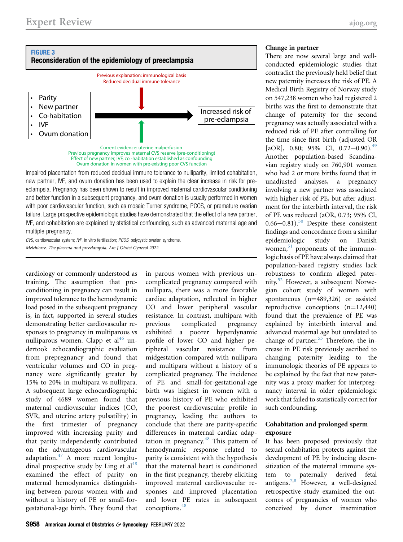<span id="page-4-0"></span>

Impaired placentation from reduced decidual immune tolerance to nulliparity, limited cohabitation, new partner, IVF, and ovum donation has been used to explain the clear increase in risk for preeclampsia. Pregnancy has been shown to result in improved maternal cardiovascular conditioning and better function in a subsequent pregnancy, and ovum donation is usually performed in women with poor cardiovascular function, such as mosaic Turner syndrome, PCOS, or premature ovarian failure. Large prospective epidemiologic studies have demonstrated that the effect of a new partner, IVF, and cohabitation are explained by statistical confounding, such as advanced maternal age and multiple pregnancy.

CVS, cardiovascular system; IVF, in vitro fertilization; PCOS, polycystic ovarian syndrome. Melchiorre. The placenta and preeclampsia. Am J Obstet Gynecol 2022.

cardiology or commonly understood as training. The assumption that preconditioning in pregnancy can result in improved tolerance to the hemodynamic load posed in the subsequent pregnancy is, in fact, supported in several studies demonstrating better cardiovascular responses to pregnancy in multiparous vs nulliparous women. Clapp et al<sup>[46](#page-8-6)</sup> undertook echocardiographic evaluation from prepregnancy and found that ventricular volumes and CO in pregnancy were significantly greater by 15% to 20% in multipara vs nullipara. A subsequent large echocardiographic study of 4689 women found that maternal cardiovascular indices (CO, SVR, and uterine artery pulsatility) in the first trimester of pregnancy improved with increasing parity and that parity independently contributed on the advantageous cardiovascular adaptation. $47$  A more recent longitudinal prospective study by Ling et  $al<sup>48</sup>$  $al<sup>48</sup>$  $al<sup>48</sup>$ examined the effect of parity on maternal hemodynamics distinguishing between parous women with and without a history of PE or small-forgestational-age birth. They found that in parous women with previous uncomplicated pregnancy compared with nullipara, there was a more favorable cardiac adaptation, reflected in higher CO and lower peripheral vascular resistance. In contrast, multipara with previous complicated pregnancy exhibited a poorer hyperdynamic profile of lower CO and higher peripheral vascular resistance from midgestation compared with nullipara and multipara without a history of a complicated pregnancy. The incidence of PE and small-for-gestational-age birth was highest in women with a previous history of PE who exhibited the poorest cardiovascular profile in pregnancy, leading the authors to conclude that there are parity-specific differences in maternal cardiac adap-tation in pregnancy.<sup>[48](#page-8-8)</sup> This pattern of hemodynamic response related to parity is consistent with the hypothesis that the maternal heart is conditioned in the first pregnancy, thereby eliciting improved maternal cardiovascular responses and improved placentation and lower PE rates in subsequent conceptions.<sup>[48](#page-8-8)</sup>

#### Change in partner

There are now several large and wellconducted epidemiologic studies that contradict the previously held belief that new paternity increases the risk of PE. A Medical Birth Registry of Norway study on 547,238 women who had registered 2 births was the first to demonstrate that change of paternity for the second pregnancy was actually associated with a reduced risk of PE after controlling for the time since first birth (adjusted OR [aOR], 0.80; 95% CI, 0.72–0.90).<sup>[49](#page-8-9)</sup> Another population-based Scandinavian registry study on 760,901 women who had 2 or more births found that in unadjusted analyses, a pregnancy involving a new partner was associated with higher risk of PE, but after adjustment for the interbirth interval, the risk of PE was reduced (aOR, 0.73; 95% CI,  $0.66 - 0.81$ ).<sup>[50](#page-8-10)</sup> Despite these consistent findings and concordance from a similar epidemiologic study on Danish women,<sup>51</sup> proponents of the immunologic basis of PE have always claimed that population-based registry studies lack robustness to confirm alleged paternity.[52](#page-8-12) However, a subsequent Norwegian cohort study of women with spontaneous  $(n=489,326)$  or assisted reproductive conceptions  $(n=12,440)$ found that the prevalence of PE was explained by interbirth interval and advanced maternal age but unrelated to change of partner.<sup>[53](#page-8-13)</sup> Therefore, the increase in PE risk previously ascribed to changing paternity leading to the immunologic theories of PE appears to be explained by the fact that new paternity was a proxy marker for interpregnancy interval in older epidemiologic work that failed to statistically correct for such confounding.

### Cohabitation and prolonged sperm exposure

It has been proposed previously that sexual cohabitation protects against the development of PE by inducing desensitization of the maternal immune system to paternally derived fetal antigens.<sup>[7](#page-7-31)[,8](#page-7-32)</sup> However, a well-designed retrospective study examined the outcomes of pregnancies of women who conceived by donor insemination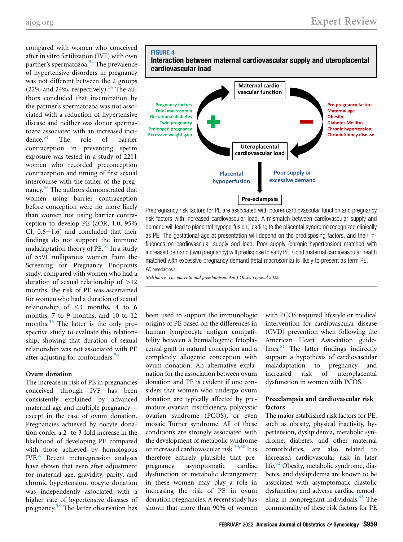compared with women who conceived after in vitro fertilization (IVF) with own partner's spermatozoa.<sup>[54](#page-8-14)</sup> The prevalence of hypertensive disorders in pregnancy was not different between the 2 groups (22% and 24%, respectively). $54$  The authors concluded that insemination by the partner's spermatozoa was not associated with a reduction of hypertensive disease and neither was donor spermatozoa associated with an increased incidence.[54](#page-8-14) The role of barrier contraception in preventing sperm exposure was tested in a study of 2211 women who recorded preconception contraception and timing of first sexual intercourse with the father of the preg-nancy.<sup>[55](#page-8-15)</sup> The authors demonstrated that women using barrier contraception before conception were no more likely than women not using barrier contraception to develop PE (aOR, 1.0; 95% CI,  $0.6-1.6$ ) and concluded that their findings do not support the immune maladaptation theory of  $PE.^{55}$  $PE.^{55}$  $PE.^{55}$  In a study of 5591 nulliparous women from the Screening for Pregnancy Endpoints study, compared with women who had a duration of sexual relationship of >12 months, the risk of PE was ascertained for women who had a duration of sexual relationship of  $\leq$ 3 months, 4 to 6 months, 7 to 9 months, and 10 to 12 months.<sup>[56](#page-8-16)</sup> The latter is the only prospective study to evaluate this relationship, showing that duration of sexual relationship was not associated with PE after adjusting for confounders.<sup>[56](#page-8-16)</sup>

## Ovum donation

The increase in risk of PE in pregnancies conceived through IVF has been consistently explained by advanced maternal age and multiple pregnancy except in the case of ovum donation. Pregnancies achieved by oocyte donation confer a 2- to 3-fold increase in the likelihood of developing PE compared with those achieved by homologous IVF.[57](#page-8-17) Recent metaregression analyses have shown that even after adjustment for maternal age, gravidity, parity, and chronic hypertension, oocyte donation was independently associated with a higher rate of hypertensive diseases of pregnancy.[58](#page-8-18) The latter observation has

<span id="page-5-0"></span>

Prepregnancy risk factors for PE are associated with poorer cardiovascular function and pregnancy risk factors with increased cardiovascular load. A mismatch between cardiovascular supply and demand will lead to placental hypoperfusion, leading to the placental syndrome recognized clinically as PE. The gestational age at presentation will depend on the predisposing factors, and their influences on cardiovascular supply and load. Poor supply (chronic hypertension) matched with increased demand (twin pregnancy) will predispose to early PE. Good maternal cardiovascular health matched with excessive pregnancy demand (fetal macrosomia) is likely to present as term PE. PE, preeclampsia.

Melchiorre. The placenta and preeclampsia. Am J Obstet Gynecol 2022.

been used to support the immunologic origins of PE based on the differences in human lymphocyte antigen compatibility between a hemiallogenic fetoplacental graft in natural conception and a completely allogenic conception with ovum donation. An alternative explanation for the association between ovum donation and PE is evident if one considers that women who undergo ovum donation are typically affected by premature ovarian insufficiency, polycystic ovarian syndrome (PCOS), or even mosaic Turner syndrome. All of these conditions are strongly associated with the development of metabolic syndrome or increased cardiovascular risk.<sup>[59,](#page-8-19)[60](#page-8-20)</sup> It is therefore entirely plausible that prepregnancy asymptomatic cardiac dysfunction or metabolic derangement in these women may play a role in increasing the risk of PE in ovum donation pregnancies. A recent study has shown that more than 90% of women

with PCOS required lifestyle or medical intervention for cardiovascular disease (CVD) prevention when following the American Heart Association guidelines. $61$  The latter findings indirectly support a hypothesis of cardiovascular maladaptation to pregnancy and increased risk of uteroplacental dysfunction in women with PCOS.

## Preeclampsia and cardiovascular risk factors

The major established risk factors for PE, such as obesity, physical inactivity, hypertension, dyslipidemia, metabolic syndrome, diabetes, and other maternal comorbidities, are also related to increased cardiovascular risk in later life.<sup>[62](#page-8-22)</sup> Obesity, metabolic syndrome, diabetes, and dyslipidemia are known to be associated with asymptomatic diastolic dysfunction and adverse cardiac remodeling in nonpregnant individuals.<sup>63</sup> The commonality of these risk factors for PE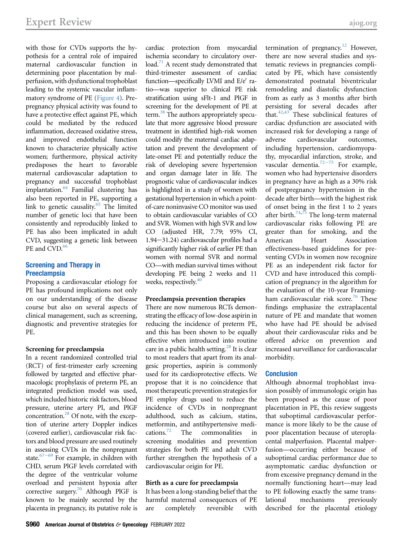with those for CVDs supports the hypothesis for a central role of impaired maternal cardiovascular function in determining poor placentation by malperfusion, with dysfunctional trophoblast leading to the systemic vascular inflammatory syndrome of PE [\(Figure 4\)](#page-5-0). Prepregnancy physical activity was found to have a protective effect against PE, which could be mediated by the reduced inflammation, decreased oxidative stress, and improved endothelial function known to characterize physically active women; furthermore, physical activity predisposes the heart to favorable maternal cardiovascular adaptation to pregnancy and successful trophoblast implantation.<sup>[64](#page-8-24)</sup> Familial clustering has also been reported in PE, supporting a link to genetic causality. $65$  The limited number of genetic loci that have been consistently and reproducibly linked to PE has also been implicated in adult CVD, suggesting a genetic link between PE and CVD.<sup>[66](#page-8-26)</sup>

## Screening and Therapy in **Preeclampsia**

Proposing a cardiovascular etiology for PE has profound implications not only on our understanding of the disease course but also on several aspects of clinical management, such as screening, diagnostic and preventive strategies for PE.

## Screening for preeclampsia

In a recent randomized controlled trial (RCT) of first-trimester early screening followed by targeted and effective pharmacologic prophylaxis of preterm PE, an integrated prediction model was used, which included historic risk factors, blood pressure, uterine artery PI, and PlGF concentration.<sup>28</sup> Of note, with the exception of uterine artery Doppler indices (covered earlier), cardiovascular risk factors and blood pressure are used routinely in assessing CVDs in the nonpregnant state. $67-69$  For example, in children with CHD, serum PlGF levels correlated with the degree of the ventricular volume overload and persistent hypoxia after corrective surgery[.70](#page-8-28) Although PlGF is known to be mainly secreted by the placenta in pregnancy, its putative role is cardiac protection from myocardial ischemia secondary to circulatory overload.<sup>71</sup> A recent study demonstrated that third-trimester assessment of cardiac function—specifically LVMI and  $E/e'$  ratio—was superior to clinical PE risk stratification using sFlt-1 and PlGF in screening for the development of PE at term.<sup>38</sup> The authors appropriately speculate that more aggressive blood pressure treatment in identified high-risk women could modify the maternal cardiac adaptation and prevent the development of late-onset PE and potentially reduce the risk of developing severe hypertension and organ damage later in life. The prognostic value of cardiovascular indices is highlighted in a study of women with gestational hypertension in which a pointof-care noninvasive CO monitor was used to obtain cardiovascular variables of CO and SVR. Women with high SVR and low CO (adjusted HR, 7.79; 95% CI,  $1.94 - 31.24$ ) cardiovascular profiles had a significantly higher risk of earlier PE than women with normal SVR and normal CO—with median survival times without developing PE being 2 weeks and 11 weeks, respectively.<sup>[40](#page-8-0)</sup>

## Preeclampsia prevention therapies

There are now numerous RCTs demonstrating the efficacy of low-dose aspirin in reducing the incidence of preterm PE, and this has been shown to be equally effective when introduced into routine care in a public health setting.<sup>[28](#page-7-19)</sup> It is clear to most readers that apart from its analgesic properties, aspirin is commonly used for its cardioprotective effects. We propose that it is no coincidence that most therapeutic prevention strategies for PE employ drugs used to reduce the incidence of CVDs in nonpregnant adulthood, such as calcium, statins, metformin, and antihypertensive medications.<sup>72</sup> The commonalities in screening modalities and prevention strategies for both PE and adult CVD further strengthen the hypothesis of a cardiovascular origin for PE.

## Birth as a cure for preeclampsia

It has been a long-standing belief that the harmful maternal consequences of PE are completely reversible with termination of pregnancy.<sup>[12](#page-7-4)</sup> However, there are now several studies and systematic reviews in pregnancies complicated by PE, which have consistently demonstrated postnatal biventricular remodeling and diastolic dysfunction from as early as 3 months after birth persisting for several decades after that.<sup>[42,](#page-8-2)[43](#page-8-3)</sup> These subclinical features of cardiac dysfunction are associated with increased risk for developing a range of adverse cardiovascular outcomes, including hypertension, cardiomyopathy, myocardial infarction, stroke, and vascular dementia.<sup>[72](#page-8-30)-75</sup> For example, women who had hypertensive disorders in pregnancy have as high as a 30% risk of postpregnancy hypertension in the decade after birth—with the highest risk of onset being in the first 1 to 2 years after birth.<sup>[74,](#page-8-31)[75](#page-8-32)</sup> The long-term maternal cardiovascular risks following PE are greater than for smoking, and the American Heart Association effectiveness-based guidelines for preventing CVDs in women now recognize PE as an independent risk factor for CVD and have introduced this complication of pregnancy in the algorithm for the evaluation of the 10-year Framing-ham cardiovascular risk score.<sup>[76](#page-8-33)</sup> These findings emphasize the extraplacental nature of PE and mandate that women who have had PE should be advised about their cardiovascular risks and be offered advice on prevention and increased surveillance for cardiovascular morbidity.

## **Conclusion**

Although abnormal trophoblast invasion possibly of immunologic origin has been proposed as the cause of poor placentation in PE, this review suggests that suboptimal cardiovascular performance is more likely to be the cause of poor placentation because of uteroplacental malperfusion. Placental malperfusion—occurring either because of suboptimal cardiac performance due to asymptomatic cardiac dysfunction or from excessive pregnancy demand in the normally functioning heart—may lead to PE following exactly the same translational mechanisms previously described for the placental etiology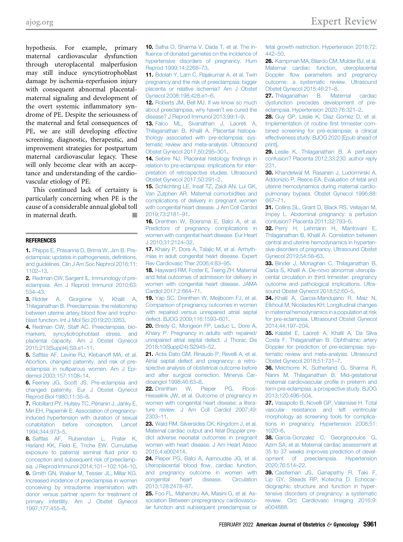hypothesis. For example, primary maternal cardiovascular dysfunction through uteroplacental malperfusion may still induce syncytiotrophoblast damage by ischemia-reperfusion injury with consequent abnormal placentalmaternal signaling and development of the overt systemic inflammatory syndrome of PE. Despite the seriousness of the maternal and fetal consequences of PE, we are still developing effective screening, diagnostic, therapeutic, and improvement strategies for postpartum maternal cardiovascular legacy. These will only become clear with an acceptance and understanding of the cardiovascular etiology of PE.

This continued lack of certainty is particularly concerning when PE is the cause of a considerable annual global toll in maternal death.

#### <span id="page-7-0"></span>REFERENCES

1. [Phipps E, Prasanna D, Brima W, Jim B. Pre](http://refhub.elsevier.com/S0002-9378(20)31198-4/sref1)[eclampsia: updates in pathogenesis, de](http://refhub.elsevier.com/S0002-9378(20)31198-4/sref1)finitions, [and guidelines. Clin J Am Soc Nephrol 2016;11:](http://refhub.elsevier.com/S0002-9378(20)31198-4/sref1) [1102](http://refhub.elsevier.com/S0002-9378(20)31198-4/sref1)–13.

<span id="page-7-1"></span>2. [Redman CW, Sargent IL. Immunology of pre](http://refhub.elsevier.com/S0002-9378(20)31198-4/sref2)[eclampsia. Am J Reprod Immunol 2010;63:](http://refhub.elsevier.com/S0002-9378(20)31198-4/sref2) [534](http://refhub.elsevier.com/S0002-9378(20)31198-4/sref2)–43.

<span id="page-7-2"></span>3. [Ridder A, Giorgione V, Khalil A,](http://refhub.elsevier.com/S0002-9378(20)31198-4/sref3) [Thilaganathan B. Preeclampsia: the relationship](http://refhub.elsevier.com/S0002-9378(20)31198-4/sref3) [between uterine artery blood](http://refhub.elsevier.com/S0002-9378(20)31198-4/sref3) flow and tropho[blast function. Int J Mol Sci 2019;20:3263](http://refhub.elsevier.com/S0002-9378(20)31198-4/sref3).

4. [Redman CW, Staff AC. Preeclampsia, bio](http://refhub.elsevier.com/S0002-9378(20)31198-4/sref4)[markers, syncytiotrophoblast stress, and](http://refhub.elsevier.com/S0002-9378(20)31198-4/sref4) [placental capacity. Am J Obstet Gynecol](http://refhub.elsevier.com/S0002-9378(20)31198-4/sref4) [2015;213\(Suppl4\):S9.e1](http://refhub.elsevier.com/S0002-9378(20)31198-4/sref4)–11.

5. [Saftlas AF, Levine RJ, Klebanoff MA, et al.](http://refhub.elsevier.com/S0002-9378(20)31198-4/sref5) [Abortion, changed paternity, and risk of pre](http://refhub.elsevier.com/S0002-9378(20)31198-4/sref5)[eclampsia in nulliparous women. Am J Epi](http://refhub.elsevier.com/S0002-9378(20)31198-4/sref5)[demiol 2003;157:1108](http://refhub.elsevier.com/S0002-9378(20)31198-4/sref5)–14.

6. [Feeney JG, Scott JS. Pre-eclampsia and](http://refhub.elsevier.com/S0002-9378(20)31198-4/sref6) [changed paternity. Eur J Obstet Gynecol](http://refhub.elsevier.com/S0002-9378(20)31198-4/sref6) [Reprod Biol 1980;11:35](http://refhub.elsevier.com/S0002-9378(20)31198-4/sref6)–8.

<span id="page-7-31"></span>7. [Robillard PY, Hulsey TC, Périanin J, Janky E,](http://refhub.elsevier.com/S0002-9378(20)31198-4/sref7) [Miri EH, Papiernik E. Association of pregnancy](http://refhub.elsevier.com/S0002-9378(20)31198-4/sref7)[induced hypertension with duration of sexual](http://refhub.elsevier.com/S0002-9378(20)31198-4/sref7) [cohabitation before conception. Lancet](http://refhub.elsevier.com/S0002-9378(20)31198-4/sref7) [1994;344:973](http://refhub.elsevier.com/S0002-9378(20)31198-4/sref7)–5.

<span id="page-7-32"></span>8. [Saftlas AF, Rubenstein L, Prater K,](http://refhub.elsevier.com/S0002-9378(20)31198-4/sref8) [Harland KK, Field E, Triche EW. Cumulative](http://refhub.elsevier.com/S0002-9378(20)31198-4/sref8) [exposure to paternal seminal](http://refhub.elsevier.com/S0002-9378(20)31198-4/sref8) fluid prior to [conception and subsequent risk of preeclamp](http://refhub.elsevier.com/S0002-9378(20)31198-4/sref8)sia. J Reprod Immunol 2014:101-102:104-10. 9. [Smith GN, Walker M, Tessier JL, Millar KG.](http://refhub.elsevier.com/S0002-9378(20)31198-4/sref9) [Increased incidence of preeclampsia in women](http://refhub.elsevier.com/S0002-9378(20)31198-4/sref9) [conceiving by intrauterine insemination with](http://refhub.elsevier.com/S0002-9378(20)31198-4/sref9) [donor versus partner sperm for treatment of](http://refhub.elsevier.com/S0002-9378(20)31198-4/sref9) [primary infertility. Am J Obstet Gynecol](http://refhub.elsevier.com/S0002-9378(20)31198-4/sref9) [1997;177:455](http://refhub.elsevier.com/S0002-9378(20)31198-4/sref9)–8.

<span id="page-7-3"></span>10. [Salha O, Sharma V, Dada T, et al. The in](http://refhub.elsevier.com/S0002-9378(20)31198-4/sref10)fl[uence of donated gametes on the incidence of](http://refhub.elsevier.com/S0002-9378(20)31198-4/sref10) [hypertensive disorders of pregnancy. Hum](http://refhub.elsevier.com/S0002-9378(20)31198-4/sref10) [Reprod 1999;14:2268](http://refhub.elsevier.com/S0002-9378(20)31198-4/sref10)–73.

11. [Bdolah Y, Lam C, Rajakumar A, et al. Twin](http://refhub.elsevier.com/S0002-9378(20)31198-4/sref11) [pregnancy and the risk of preeclampsia: bigger](http://refhub.elsevier.com/S0002-9378(20)31198-4/sref11) [placenta or relative ischemia? Am J Obstet](http://refhub.elsevier.com/S0002-9378(20)31198-4/sref11) [Gynecol 2008;198:428.e1](http://refhub.elsevier.com/S0002-9378(20)31198-4/sref11)–6.

<span id="page-7-4"></span>12. [Roberts JM, Bell MJ. If we know so much](http://refhub.elsevier.com/S0002-9378(20)31198-4/sref12) [about preeclampsia, why haven](http://refhub.elsevier.com/S0002-9378(20)31198-4/sref12)'t we cured the [disease? J Reprod Immunol 2013;99:1](http://refhub.elsevier.com/S0002-9378(20)31198-4/sref12)–9.

<span id="page-7-5"></span>13. [Falco ML, Sivanathan J, Laoreti A,](http://refhub.elsevier.com/S0002-9378(20)31198-4/sref13) [Thilaganathan B, Khalil A. Placental histopa](http://refhub.elsevier.com/S0002-9378(20)31198-4/sref13)[thology associated with pre-eclampsia: sys](http://refhub.elsevier.com/S0002-9378(20)31198-4/sref13)[tematic review and meta-analysis. Ultrasound](http://refhub.elsevier.com/S0002-9378(20)31198-4/sref13) [Obstet Gynecol 2017;50:295](http://refhub.elsevier.com/S0002-9378(20)31198-4/sref13)–301.

<span id="page-7-6"></span>14. [Sebire NJ. Placental histology](http://refhub.elsevier.com/S0002-9378(20)31198-4/sref14) findings in [relation to pre-eclampsia: implications for inter](http://refhub.elsevier.com/S0002-9378(20)31198-4/sref14)[pretation of retrospective studies. Ultrasound](http://refhub.elsevier.com/S0002-9378(20)31198-4/sref14) [Obstet Gynecol 2017;50:291](http://refhub.elsevier.com/S0002-9378(20)31198-4/sref14)–2.

<span id="page-7-7"></span>15. [Schlichting LE, Insaf TZ, Zaidi AN, Lui GK,](http://refhub.elsevier.com/S0002-9378(20)31198-4/sref15) [Van Zutphen AR. Maternal comorbidities and](http://refhub.elsevier.com/S0002-9378(20)31198-4/sref15) [complications of delivery in pregnant women](http://refhub.elsevier.com/S0002-9378(20)31198-4/sref15) [with congenital heart disease. J Am Coll Cardiol](http://refhub.elsevier.com/S0002-9378(20)31198-4/sref15) [2019;73:2181](http://refhub.elsevier.com/S0002-9378(20)31198-4/sref15)–91.

<span id="page-7-9"></span>16. [Drenthen W, Boersma E, Balci A, et al.](http://refhub.elsevier.com/S0002-9378(20)31198-4/sref16) [Predictors of pregnancy complications in](http://refhub.elsevier.com/S0002-9378(20)31198-4/sref16) [women with congenital heart disease. Eur Heart](http://refhub.elsevier.com/S0002-9378(20)31198-4/sref16) [J 2010;31:2124](http://refhub.elsevier.com/S0002-9378(20)31198-4/sref16)–32.

17. [Khairy P, Dore A, Talajic M, et al. Arrhyth](http://refhub.elsevier.com/S0002-9378(20)31198-4/sref17)[mias in adult congenital heart disease. Expert](http://refhub.elsevier.com/S0002-9378(20)31198-4/sref17) [Rev Cardiovasc Ther 2006;4:83](http://refhub.elsevier.com/S0002-9378(20)31198-4/sref17)–95.

<span id="page-7-8"></span>18. [Hayward RM, Foster E, Tseng ZH. Maternal](http://refhub.elsevier.com/S0002-9378(20)31198-4/sref18) [and fetal outcomes of admission for delivery in](http://refhub.elsevier.com/S0002-9378(20)31198-4/sref18) [women with congenital heart disease. JAMA](http://refhub.elsevier.com/S0002-9378(20)31198-4/sref18) [Cardiol 2017;2:664](http://refhub.elsevier.com/S0002-9378(20)31198-4/sref18)–71.

<span id="page-7-10"></span>19. [Yap SC, Drenthen W, Meijboom FJ, et al.](http://refhub.elsevier.com/S0002-9378(20)31198-4/sref19) [Comparison of pregnancy outcomes in women](http://refhub.elsevier.com/S0002-9378(20)31198-4/sref19) [with repaired versus unrepaired atrial septal](http://refhub.elsevier.com/S0002-9378(20)31198-4/sref19) [defect. BJOG 2009;116:1593](http://refhub.elsevier.com/S0002-9378(20)31198-4/sref19)–601.

<span id="page-7-11"></span>20. [Bredy C, Mongeon FP, Leduc L, Dore A,](http://refhub.elsevier.com/S0002-9378(20)31198-4/sref20) [Khairy P. Pregnancy in adults with repaired/](http://refhub.elsevier.com/S0002-9378(20)31198-4/sref20) [unrepaired atrial septal defect. J Thorac Dis](http://refhub.elsevier.com/S0002-9378(20)31198-4/sref20) [2018;10\(Suppl24\):S2945](http://refhub.elsevier.com/S0002-9378(20)31198-4/sref20)–52.

<span id="page-7-12"></span>21. [Actis Dato GM, Rinaudo P, Revelli A, et al.](http://refhub.elsevier.com/S0002-9378(20)31198-4/sref21) [Atrial septal defect and pregnancy: a retro](http://refhub.elsevier.com/S0002-9378(20)31198-4/sref21)[spective analysis of obstetrical outcome before](http://refhub.elsevier.com/S0002-9378(20)31198-4/sref21) [and after surgical correction. Minerva Car](http://refhub.elsevier.com/S0002-9378(20)31198-4/sref21)[dioangiol 1998;46:63](http://refhub.elsevier.com/S0002-9378(20)31198-4/sref21)–8.

<span id="page-7-13"></span>22. Drenthen W. Pieper PG. Roos-[Hesselink JW, et al. Outcome of pregnancy in](http://refhub.elsevier.com/S0002-9378(20)31198-4/sref22) [women with congenital heart disease: a litera](http://refhub.elsevier.com/S0002-9378(20)31198-4/sref22)[ture review. J Am Coll Cardiol 2007;49:](http://refhub.elsevier.com/S0002-9378(20)31198-4/sref22) [2303](http://refhub.elsevier.com/S0002-9378(20)31198-4/sref22)–11.

<span id="page-7-14"></span>23. [Wald RM, Silversides CK, Kingdom J, et al.](http://refhub.elsevier.com/S0002-9378(20)31198-4/sref23) [Maternal cardiac output and fetal Doppler pre](http://refhub.elsevier.com/S0002-9378(20)31198-4/sref23)[dict adverse neonatal outcomes in pregnant](http://refhub.elsevier.com/S0002-9378(20)31198-4/sref23) [women with heart disease. J Am Heart Assoc](http://refhub.elsevier.com/S0002-9378(20)31198-4/sref23) [2015;4:e002414.](http://refhub.elsevier.com/S0002-9378(20)31198-4/sref23)

<span id="page-7-15"></span>24. [Pieper PG, Balci A, Aarnoudse JG, et al.](http://refhub.elsevier.com/S0002-9378(20)31198-4/sref24) Uteroplacental blood fl[ow, cardiac function,](http://refhub.elsevier.com/S0002-9378(20)31198-4/sref24) [and pregnancy outcome in women with](http://refhub.elsevier.com/S0002-9378(20)31198-4/sref24) [congenital heart disease. Circulation](http://refhub.elsevier.com/S0002-9378(20)31198-4/sref24) [2013;128:2478](http://refhub.elsevier.com/S0002-9378(20)31198-4/sref24)–87.

<span id="page-7-16"></span>25. [Foo FL, Mahendru AA, Masini G, et al. As](http://refhub.elsevier.com/S0002-9378(20)31198-4/sref25)[sociation Between prepregnancy cardiovascu](http://refhub.elsevier.com/S0002-9378(20)31198-4/sref25)[lar function and subsequent preeclampsia or](http://refhub.elsevier.com/S0002-9378(20)31198-4/sref25)

[fetal growth restriction. Hypertension 2018;72:](http://refhub.elsevier.com/S0002-9378(20)31198-4/sref25) [442](http://refhub.elsevier.com/S0002-9378(20)31198-4/sref25)–50.

<span id="page-7-17"></span>26. [Kampman MA, Bilardo CM, Mulder BJ, et al.](http://refhub.elsevier.com/S0002-9378(20)31198-4/sref26) [Maternal cardiac function, uteroplacental](http://refhub.elsevier.com/S0002-9378(20)31198-4/sref26) Doppler fl[ow parameters and pregnancy](http://refhub.elsevier.com/S0002-9378(20)31198-4/sref26) [outcome: a systematic review. Ultrasound](http://refhub.elsevier.com/S0002-9378(20)31198-4/sref26) [Obstet Gynecol 2015;46:21](http://refhub.elsevier.com/S0002-9378(20)31198-4/sref26)–8.

<span id="page-7-18"></span>27. [Thilaganathan B. Maternal cardiac](http://refhub.elsevier.com/S0002-9378(20)31198-4/sref27) [dysfunction precedes development of pre](http://refhub.elsevier.com/S0002-9378(20)31198-4/sref27)[eclampsia. Hypertension 2020;76:321](http://refhub.elsevier.com/S0002-9378(20)31198-4/sref27)–2.

<span id="page-7-19"></span>28. [Guy GP, Leslie K, Diaz Gomez D, et al.](http://refhub.elsevier.com/S0002-9378(20)31198-4/sref28) [Implementation of routine](http://refhub.elsevier.com/S0002-9378(20)31198-4/sref28) first trimester com[bined screening for pre-eclampsia: a clinical](http://refhub.elsevier.com/S0002-9378(20)31198-4/sref28) [effectiveness study. BJOG 2020 \[Epub ahead of](http://refhub.elsevier.com/S0002-9378(20)31198-4/sref28) [print\]](http://refhub.elsevier.com/S0002-9378(20)31198-4/sref28).

<span id="page-7-20"></span>29. [Leslie K, Thilaganathan B. A perfusion](http://refhub.elsevier.com/S0002-9378(20)31198-4/sref29) [confusion? Placenta 2012;33:230. author reply](http://refhub.elsevier.com/S0002-9378(20)31198-4/sref29) [231.](http://refhub.elsevier.com/S0002-9378(20)31198-4/sref29)

<span id="page-7-21"></span>30. [Khandelwal M, Rasanen J, Ludormirski A,](http://refhub.elsevier.com/S0002-9378(20)31198-4/sref30) [Addonizio P, Reece EA. Evaluation of fetal and](http://refhub.elsevier.com/S0002-9378(20)31198-4/sref30) [uterine hemodynamics during maternal cardio](http://refhub.elsevier.com/S0002-9378(20)31198-4/sref30)[pulmonary bypass. Obstet Gynecol 1996;88:](http://refhub.elsevier.com/S0002-9378(20)31198-4/sref30) [667](http://refhub.elsevier.com/S0002-9378(20)31198-4/sref30)–71.

<span id="page-7-22"></span>31. [Collins SL, Grant D, Black RS, Vellayan M,](http://refhub.elsevier.com/S0002-9378(20)31198-4/sref31) [Impey L. Abdominal pregnancy: a perfusion](http://refhub.elsevier.com/S0002-9378(20)31198-4/sref31) [confusion? Placenta 2011;32:793](http://refhub.elsevier.com/S0002-9378(20)31198-4/sref31)–5.

<span id="page-7-23"></span>32. [Perry H, Lehmann H, Mantovani E,](http://refhub.elsevier.com/S0002-9378(20)31198-4/sref32) [Thilaganathan B, Khalil A. Correlation between](http://refhub.elsevier.com/S0002-9378(20)31198-4/sref32) [central and uterine hemodynamics in hyperten](http://refhub.elsevier.com/S0002-9378(20)31198-4/sref32)[sive disorders of pregnancy. Ultrasound Obstet](http://refhub.elsevier.com/S0002-9378(20)31198-4/sref32) [Gynecol 2019;54:58](http://refhub.elsevier.com/S0002-9378(20)31198-4/sref32)–63.

<span id="page-7-24"></span>33. [Binder J, Monaghan C, Thilaganathan B,](http://refhub.elsevier.com/S0002-9378(20)31198-4/sref33) [Carta S, Khalil A. De-novo abnormal uteropla](http://refhub.elsevier.com/S0002-9378(20)31198-4/sref33)[cental circulation in third trimester: pregnancy](http://refhub.elsevier.com/S0002-9378(20)31198-4/sref33) [outcome and pathological implications. Ultra](http://refhub.elsevier.com/S0002-9378(20)31198-4/sref33)[sound Obstet Gynecol 2018;52:60](http://refhub.elsevier.com/S0002-9378(20)31198-4/sref33)–5.

<span id="page-7-25"></span>34. [Khalil A, Garcia-Mandujano R, Maiz N,](http://refhub.elsevier.com/S0002-9378(20)31198-4/sref34) [Elkhouli M, Nicolaides KH. Longitudinal changes](http://refhub.elsevier.com/S0002-9378(20)31198-4/sref34) [in maternal hemodynamics in a population at risk](http://refhub.elsevier.com/S0002-9378(20)31198-4/sref34) [for pre-eclampsia. Ultrasound Obstet Gynecol](http://refhub.elsevier.com/S0002-9378(20)31198-4/sref34) [2014;44:197](http://refhub.elsevier.com/S0002-9378(20)31198-4/sref34)–204.

<span id="page-7-26"></span>35. [Kalafat E, Laoreti A, Khalil A, Da Silva](http://refhub.elsevier.com/S0002-9378(20)31198-4/sref35) [Costa F, Thilaganathan B. Ophthalmic artery](http://refhub.elsevier.com/S0002-9378(20)31198-4/sref35) [Doppler for prediction of pre-eclampsia: sys](http://refhub.elsevier.com/S0002-9378(20)31198-4/sref35)[tematic review and meta-analysis. Ultrasound](http://refhub.elsevier.com/S0002-9378(20)31198-4/sref35) [Obstet Gynecol 2018;51:731](http://refhub.elsevier.com/S0002-9378(20)31198-4/sref35)–7.

<span id="page-7-27"></span>36. [Melchiorre K, Sutherland G, Sharma R,](http://refhub.elsevier.com/S0002-9378(20)31198-4/sref36) [Nanni M, Thilaganathan B. Mid-gestational](http://refhub.elsevier.com/S0002-9378(20)31198-4/sref36) [maternal cardiovascular pro](http://refhub.elsevier.com/S0002-9378(20)31198-4/sref36)file in preterm and [term pre-eclampsia: a prospective study. BJOG](http://refhub.elsevier.com/S0002-9378(20)31198-4/sref36) [2013;120:496](http://refhub.elsevier.com/S0002-9378(20)31198-4/sref36)–504.

<span id="page-7-28"></span>37. [Vasapollo B, Novelli GP, Valensise H. Total](http://refhub.elsevier.com/S0002-9378(20)31198-4/sref37) [vascular resistance and left ventricular](http://refhub.elsevier.com/S0002-9378(20)31198-4/sref37) [morphology as screening tools for complica](http://refhub.elsevier.com/S0002-9378(20)31198-4/sref37)[tions in pregnancy. Hypertension 2008;51:](http://refhub.elsevier.com/S0002-9378(20)31198-4/sref37) [1020](http://refhub.elsevier.com/S0002-9378(20)31198-4/sref37)–6.

<span id="page-7-29"></span>38. [Garcia-Gonzalez C, Georgiopoulos G,](http://refhub.elsevier.com/S0002-9378(20)31198-4/sref38) [Azim SA, et al. Maternal cardiac assessment at](http://refhub.elsevier.com/S0002-9378(20)31198-4/sref38) [35 to 37 weeks improves prediction of devel](http://refhub.elsevier.com/S0002-9378(20)31198-4/sref38)[opment of preeclampsia. Hypertension](http://refhub.elsevier.com/S0002-9378(20)31198-4/sref38) [2020;76:514](http://refhub.elsevier.com/S0002-9378(20)31198-4/sref38)–22.

<span id="page-7-30"></span>39. [Castleman JS, Ganapathy R, Taki F,](http://refhub.elsevier.com/S0002-9378(20)31198-4/sref39) [Lip GY, Steeds RP, Kotecha D. Echocar](http://refhub.elsevier.com/S0002-9378(20)31198-4/sref39)[diographic structure and function in hyper](http://refhub.elsevier.com/S0002-9378(20)31198-4/sref39)[tensive disorders of pregnancy: a systematic](http://refhub.elsevier.com/S0002-9378(20)31198-4/sref39) [review. Circ Cardiovasc Imaging 2016;9:](http://refhub.elsevier.com/S0002-9378(20)31198-4/sref39) [e004888.](http://refhub.elsevier.com/S0002-9378(20)31198-4/sref39)